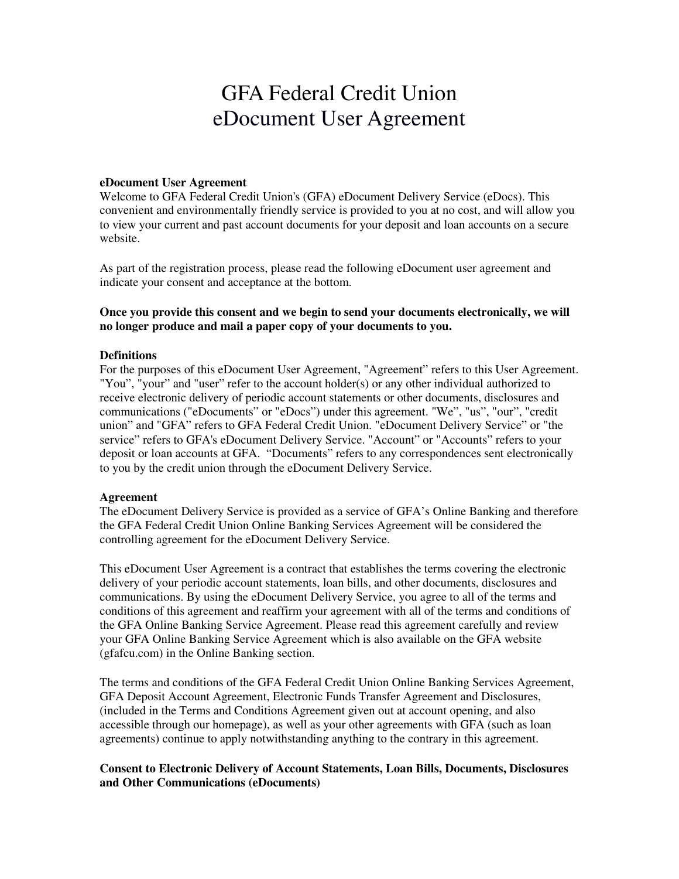# GFA Federal Credit Union eDocument User Agreement

# **eDocument User Agreement**

Welcome to GFA Federal Credit Union's (GFA) eDocument Delivery Service (eDocs). This convenient and environmentally friendly service is provided to you at no cost, and will allow you to view your current and past account documents for your deposit and loan accounts on a secure website.

As part of the registration process, please read the following eDocument user agreement and indicate your consent and acceptance at the bottom.

## **Once you provide this consent and we begin to send your documents electronically, we will no longer produce and mail a paper copy of your documents to you.**

## **Definitions**

For the purposes of this eDocument User Agreement, "Agreement" refers to this User Agreement. "You", "your" and "user" refer to the account holder(s) or any other individual authorized to receive electronic delivery of periodic account statements or other documents, disclosures and communications ("eDocuments" or "eDocs") under this agreement. "We", "us", "our", "credit union" and "GFA" refers to GFA Federal Credit Union. "eDocument Delivery Service" or "the service" refers to GFA's eDocument Delivery Service. "Account" or "Accounts" refers to your deposit or loan accounts at GFA. "Documents" refers to any correspondences sent electronically to you by the credit union through the eDocument Delivery Service.

#### **Agreement**

The eDocument Delivery Service is provided as a service of GFA's Online Banking and therefore the GFA Federal Credit Union Online Banking Services Agreement will be considered the controlling agreement for the eDocument Delivery Service.

This eDocument User Agreement is a contract that establishes the terms covering the electronic delivery of your periodic account statements, loan bills, and other documents, disclosures and communications. By using the eDocument Delivery Service, you agree to all of the terms and conditions of this agreement and reaffirm your agreement with all of the terms and conditions of the GFA Online Banking Service Agreement. Please read this agreement carefully and review your GFA Online Banking Service Agreement which is also available on the GFA website (gfafcu.com) in the Online Banking section.

The terms and conditions of the GFA Federal Credit Union Online Banking Services Agreement, GFA Deposit Account Agreement, Electronic Funds Transfer Agreement and Disclosures, (included in the Terms and Conditions Agreement given out at account opening, and also accessible through our homepage), as well as your other agreements with GFA (such as loan agreements) continue to apply notwithstanding anything to the contrary in this agreement.

# **Consent to Electronic Delivery of Account Statements, Loan Bills, Documents, Disclosures and Other Communications (eDocuments)**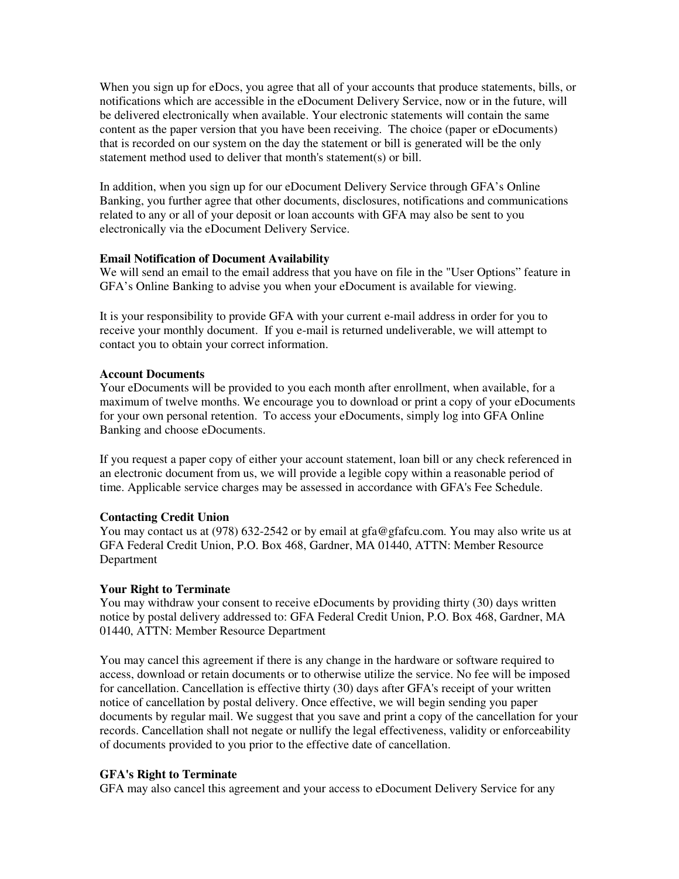When you sign up for eDocs, you agree that all of your accounts that produce statements, bills, or notifications which are accessible in the eDocument Delivery Service, now or in the future, will be delivered electronically when available. Your electronic statements will contain the same content as the paper version that you have been receiving. The choice (paper or eDocuments) that is recorded on our system on the day the statement or bill is generated will be the only statement method used to deliver that month's statement(s) or bill.

In addition, when you sign up for our eDocument Delivery Service through GFA's Online Banking, you further agree that other documents, disclosures, notifications and communications related to any or all of your deposit or loan accounts with GFA may also be sent to you electronically via the eDocument Delivery Service.

## **Email Notification of Document Availability**

We will send an email to the email address that you have on file in the "User Options" feature in GFA's Online Banking to advise you when your eDocument is available for viewing.

It is your responsibility to provide GFA with your current e-mail address in order for you to receive your monthly document. If you e-mail is returned undeliverable, we will attempt to contact you to obtain your correct information.

## **Account Documents**

Your eDocuments will be provided to you each month after enrollment, when available, for a maximum of twelve months. We encourage you to download or print a copy of your eDocuments for your own personal retention. To access your eDocuments, simply log into GFA Online Banking and choose eDocuments.

If you request a paper copy of either your account statement, loan bill or any check referenced in an electronic document from us, we will provide a legible copy within a reasonable period of time. Applicable service charges may be assessed in accordance with GFA's Fee Schedule.

#### **Contacting Credit Union**

You may contact us at (978) 632-2542 or by email at gfa@gfafcu.com. You may also write us at GFA Federal Credit Union, P.O. Box 468, Gardner, MA 01440, ATTN: Member Resource Department

#### **Your Right to Terminate**

You may withdraw your consent to receive eDocuments by providing thirty (30) days written notice by postal delivery addressed to: GFA Federal Credit Union, P.O. Box 468, Gardner, MA 01440, ATTN: Member Resource Department

You may cancel this agreement if there is any change in the hardware or software required to access, download or retain documents or to otherwise utilize the service. No fee will be imposed for cancellation. Cancellation is effective thirty (30) days after GFA's receipt of your written notice of cancellation by postal delivery. Once effective, we will begin sending you paper documents by regular mail. We suggest that you save and print a copy of the cancellation for your records. Cancellation shall not negate or nullify the legal effectiveness, validity or enforceability of documents provided to you prior to the effective date of cancellation.

#### **GFA's Right to Terminate**

GFA may also cancel this agreement and your access to eDocument Delivery Service for any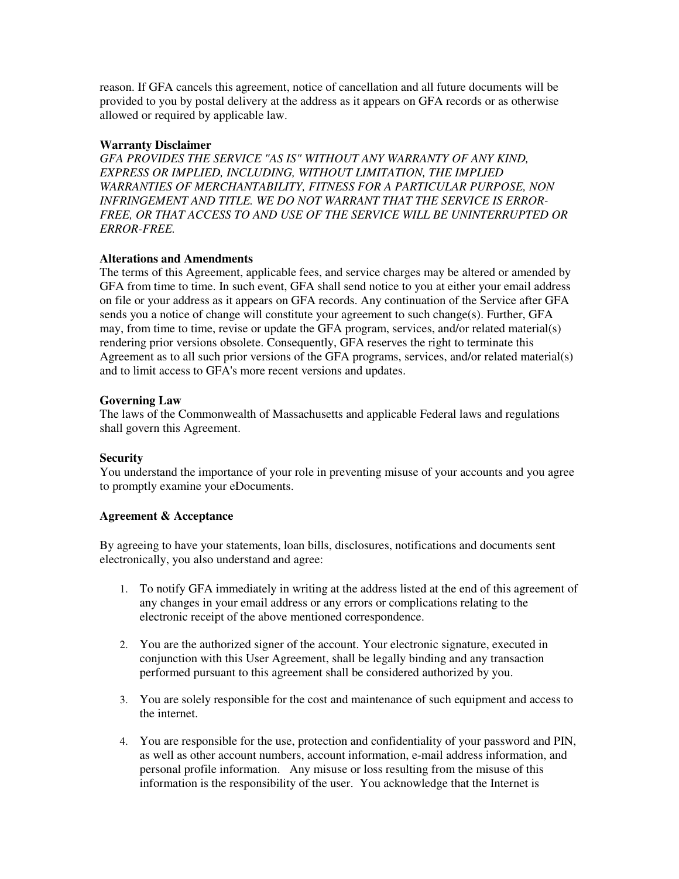reason. If GFA cancels this agreement, notice of cancellation and all future documents will be provided to you by postal delivery at the address as it appears on GFA records or as otherwise allowed or required by applicable law.

## **Warranty Disclaimer**

*GFA PROVIDES THE SERVICE "AS IS" WITHOUT ANY WARRANTY OF ANY KIND, EXPRESS OR IMPLIED, INCLUDING, WITHOUT LIMITATION, THE IMPLIED WARRANTIES OF MERCHANTABILITY, FITNESS FOR A PARTICULAR PURPOSE, NON INFRINGEMENT AND TITLE. WE DO NOT WARRANT THAT THE SERVICE IS ERROR-FREE, OR THAT ACCESS TO AND USE OF THE SERVICE WILL BE UNINTERRUPTED OR ERROR-FREE.*

## **Alterations and Amendments**

The terms of this Agreement, applicable fees, and service charges may be altered or amended by GFA from time to time. In such event, GFA shall send notice to you at either your email address on file or your address as it appears on GFA records. Any continuation of the Service after GFA sends you a notice of change will constitute your agreement to such change(s). Further, GFA may, from time to time, revise or update the GFA program, services, and/or related material(s) rendering prior versions obsolete. Consequently, GFA reserves the right to terminate this Agreement as to all such prior versions of the GFA programs, services, and/or related material(s) and to limit access to GFA's more recent versions and updates.

# **Governing Law**

The laws of the Commonwealth of Massachusetts and applicable Federal laws and regulations shall govern this Agreement.

# **Security**

You understand the importance of your role in preventing misuse of your accounts and you agree to promptly examine your eDocuments.

#### **Agreement & Acceptance**

By agreeing to have your statements, loan bills, disclosures, notifications and documents sent electronically, you also understand and agree:

- 1. To notify GFA immediately in writing at the address listed at the end of this agreement of any changes in your email address or any errors or complications relating to the electronic receipt of the above mentioned correspondence.
- 2. You are the authorized signer of the account. Your electronic signature, executed in conjunction with this User Agreement, shall be legally binding and any transaction performed pursuant to this agreement shall be considered authorized by you.
- 3. You are solely responsible for the cost and maintenance of such equipment and access to the internet.
- 4. You are responsible for the use, protection and confidentiality of your password and PIN, as well as other account numbers, account information, e-mail address information, and personal profile information. Any misuse or loss resulting from the misuse of this information is the responsibility of the user. You acknowledge that the Internet is